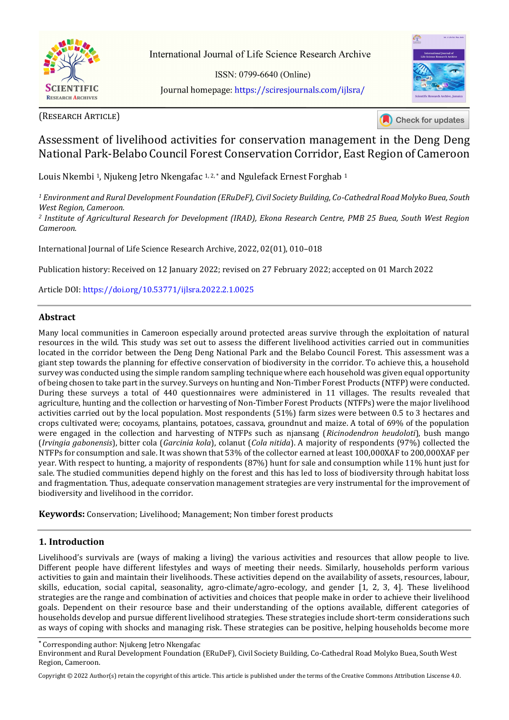

International Journal of Life Science Research Archive

ISSN: 0799-6640 (Online) Journal homepage: https://sciresjournals.com/ijlsra/



(RESEARCH ARTICLE)

**Check for updates** 

# Assessment of livelihood activities for conservation management in the Deng Deng National Park-Belabo Council Forest Conservation Corridor, East Region of Cameroon

Louis Nkembi<sup>1</sup>, Njukeng Jetro Nkengafac<sup>1,2,\*</sup> and Ngulefack Ernest Forghab<sup>1</sup>

*<sup>1</sup> Environment and Rural Development Foundation (ERuDeF), Civil Society Building, Co-Cathedral Road Molyko Buea, South West Region, Cameroon.* 

*<sup>2</sup> Institute of Agricultural Research for Development (IRAD), Ekona Research Centre, PMB 25 Buea, South West Region Cameroon.* 

International Journal of Life Science Research Archive, 2022, 02(01), 010–018

Publication history: Received on 12 January 2022; revised on 27 February 2022; accepted on 01 March 2022

Article DOI[: https://doi.org/10.53771/ijlsra.2022.2.1.0025](https://doi.org/10.53771/ijlsra.2022.2.1.0025)

### **Abstract**

Many local communities in Cameroon especially around protected areas survive through the exploitation of natural resources in the wild. This study was set out to assess the different livelihood activities carried out in communities located in the corridor between the Deng Deng National Park and the Belabo Council Forest. This assessment was a giant step towards the planning for effective conservation of biodiversity in the corridor. To achieve this, a household survey was conducted using the simple random sampling technique where each household was given equal opportunity of being chosen to take part in the survey. Surveys on hunting and Non-Timber Forest Products (NTFP) were conducted. During these surveys a total of 440 questionnaires were administered in 11 villages. The results revealed that agriculture, hunting and the collection or harvesting of Non-Timber Forest Products (NTFPs) were the major livelihood activities carried out by the local population. Most respondents (51%) farm sizes were between 0.5 to 3 hectares and crops cultivated were; cocoyams, plantains, potatoes, cassava, groundnut and maize. A total of 69% of the population were engaged in the collection and harvesting of NTFPs such as njansang (*Ricinodendron heudoloti*), bush mango (*Irvingia gabonensis*), bitter cola (*Garcinia kola*), colanut (*Cola nitida*). A majority of respondents (97%) collected the NTFPs for consumption and sale. It was shown that 53% of the collector earned at least 100,000XAF to 200,000XAF per year. With respect to hunting, a majority of respondents (87%) hunt for sale and consumption while 11% hunt just for sale. The studied communities depend highly on the forest and this has led to loss of biodiversity through habitat loss and fragmentation. Thus, adequate conservation management strategies are very instrumental for the improvement of biodiversity and livelihood in the corridor.

**Keywords:** Conservation; Livelihood; Management; Non timber forest products

### **1. Introduction**

Livelihood's survivals are (ways of making a living) the various activities and resources that allow people to live. Different people have different lifestyles and ways of meeting their needs. Similarly, households perform various activities to gain and maintain their livelihoods. These activities depend on the availability of assets, resources, labour, skills, education, social capital, seasonality, agro-climate/agro-ecology, and gender [1, 2, 3, 4]. These livelihood strategies are the range and combination of activities and choices that people make in order to achieve their livelihood goals. Dependent on their resource base and their understanding of the options available, different categories of households develop and pursue different livelihood strategies. These strategies include short-term considerations such as ways of coping with shocks and managing risk. These strategies can be positive, helping households become more

**\*** Corresponding author: Njukeng Jetro Nkengafac

Copyright © 2022 Author(s) retain the copyright of this article. This article is published under the terms of th[e Creative Commons Attribution Liscense 4.0.](http://creativecommons.org/licenses/by/4.0/deed.en_US) 

Environment and Rural Development Foundation (ERuDeF), Civil Society Building, Co-Cathedral Road Molyko Buea, South West Region, Cameroon.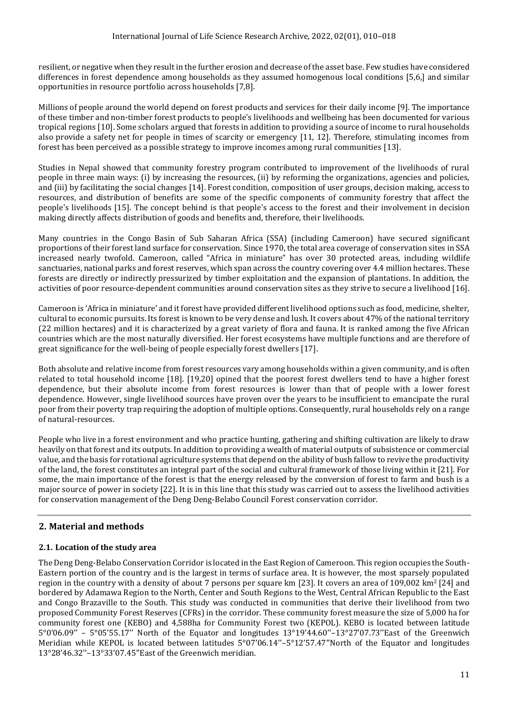resilient, or negative when they result in the further erosion and decrease of the asset base. Few studies have considered differences in forest dependence among households as they assumed homogenous local conditions [5,6,] and similar opportunities in resource portfolio across households [7,8].

Millions of people around the world depend on forest products and services for their daily income [9]. The importance of these timber and non-timber forest products to people's livelihoods and wellbeing has been documented for various tropical regions [10]. Some scholars argued that forests in addition to providing a source of income to rural households also provide a safety net for people in times of scarcity or emergency [11, 12]. Therefore, stimulating incomes from forest has been perceived as a possible strategy to improve incomes among rural communities [13].

Studies in Nepal showed that community forestry program contributed to improvement of the livelihoods of rural people in three main ways: (i) by increasing the resources, (ii) by reforming the organizations, agencies and policies, and (iii) by facilitating the social changes [14]. Forest condition, composition of user groups, decision making, access to resources, and distribution of benefits are some of the specific components of community forestry that affect the people's livelihoods [15]. The concept behind is that people's access to the forest and their involvement in decision making directly affects distribution of goods and benefits and, therefore, their livelihoods.

Many countries in the Congo Basin of Sub Saharan Africa (SSA) (including Cameroon) have secured significant proportions of their forest land surface for conservation. Since 1970, the total area coverage of conservation sites in SSA increased nearly twofold. Cameroon, called "Africa in miniature" has over 30 protected areas, including wildlife sanctuaries, national parks and forest reserves, which span across the country covering over 4.4 million hectares. These forests are directly or indirectly pressurized by timber exploitation and the expansion of plantations. In addition, the activities of poor resource-dependent communities around conservation sites as they strive to secure a livelihood [16].

Cameroon is 'Africa in miniature' and it forest have provided different livelihood options such as food, medicine, shelter, cultural to economic pursuits. Its forest is known to be very dense and lush. It covers about 47% of the national territory (22 million hectares) and it is characterized by a great variety of flora and fauna. It is ranked among the five African countries which are the most naturally diversified. Her forest ecosystems have multiple functions and are therefore of great significance for the well-being of people especially forest dwellers [17].

Both absolute and relative income from forest resources vary among households within a given community, and is often related to total household income [18]. [19,20] opined that the poorest forest dwellers tend to have a higher forest dependence, but their absolute income from forest resources is lower than that of people with a lower forest dependence. However, single livelihood sources have proven over the years to be insufficient to emancipate the rural poor from their poverty trap requiring the adoption of multiple options. Consequently, rural households rely on a range of natural-resources.

People who live in a forest environment and who practice hunting, gathering and shifting cultivation are likely to draw heavily on that forest and its outputs. In addition to providing a wealth of material outputs of subsistence or commercial value, and the basis for rotational agriculture systems that depend on the ability of bush fallow to revive the productivity of the land, the forest constitutes an integral part of the social and cultural framework of those living within it [21]. For some, the main importance of the forest is that the energy released by the conversion of forest to farm and bush is a major source of power in society [22]. It is in this line that this study was carried out to assess the livelihood activities for conservation management of the Deng Deng-Belabo Council Forest conservation corridor.

## **2. Material and methods**

## **2.1. Location of the study area**

The Deng Deng-Belabo Conservation Corridor is located in the East Region of Cameroon. This region occupies the South-Eastern portion of the country and is the largest in terms of surface area. It is however, the most sparsely populated region in the country with a density of about 7 persons per square km [23]. It covers an area of 109,002 km2 [24] and bordered by Adamawa Region to the North, Center and South Regions to the West, Central African Republic to the East and Congo Brazaville to the South. This study was conducted in communities that derive their livelihood from two proposed Community Forest Reserves (CFRs) in the corridor. These community forest measure the size of 5,000 ha for community forest one (KEBO) and 4,588ha for Community Forest two (KEPOL). KEBO is located between latitude 5°0'06.09'' – 5°05'55.17'' North of the Equator and longitudes 13°19'44.60''–13°27'07.73''East of the Greenwich Meridian while KEPOL is located between latitudes 5°07'06.14''–5°12'57.47''North of the Equator and longitudes 13°28'46.32''–13°33'07.45''East of the Greenwich meridian.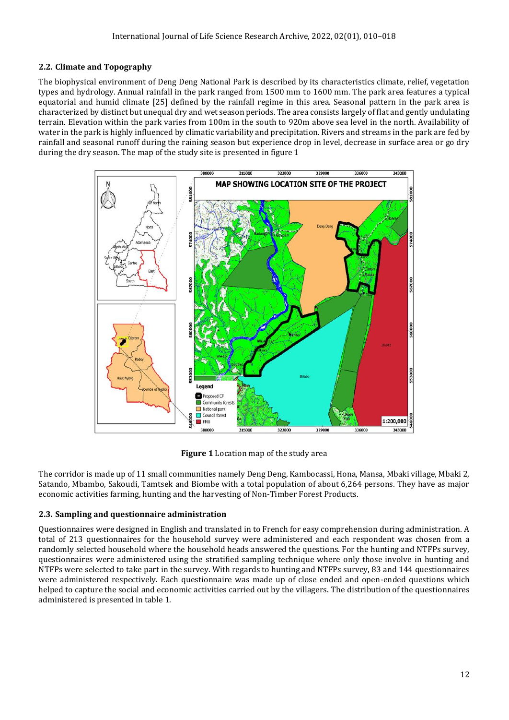## **2.2. Climate and Topography**

The biophysical environment of Deng Deng National Park is described by its characteristics climate, relief, vegetation types and hydrology. Annual rainfall in the park ranged from 1500 mm to 1600 mm. The park area features a typical equatorial and humid climate [25] defined by the rainfall regime in this area. Seasonal pattern in the park area is characterized by distinct but unequal dry and wet season periods. The area consists largely of flat and gently undulating terrain. Elevation within the park varies from 100m in the south to 920m above sea level in the north. Availability of water in the park is highly influenced by climatic variability and precipitation. Rivers and streams in the park are fed by rainfall and seasonal runoff during the raining season but experience drop in level, decrease in surface area or go dry during the dry season. The map of the study site is presented in figure 1



**Figure 1** Location map of the study area

The corridor is made up of 11 small communities namely Deng Deng, Kambocassi, Hona, Mansa, Mbaki village, Mbaki 2, Satando, Mbambo, Sakoudi, Tamtsek and Biombe with a total population of about 6,264 persons. They have as major economic activities farming, hunting and the harvesting of Non-Timber Forest Products.

## **2.3. Sampling and questionnaire administration**

Questionnaires were designed in English and translated in to French for easy comprehension during administration. A total of 213 questionnaires for the household survey were administered and each respondent was chosen from a randomly selected household where the household heads answered the questions. For the hunting and NTFPs survey, questionnaires were administered using the stratified sampling technique where only those involve in hunting and NTFPs were selected to take part in the survey. With regards to hunting and NTFPs survey, 83 and 144 questionnaires were administered respectively. Each questionnaire was made up of close ended and open-ended questions which helped to capture the social and economic activities carried out by the villagers. The distribution of the questionnaires administered is presented in table 1.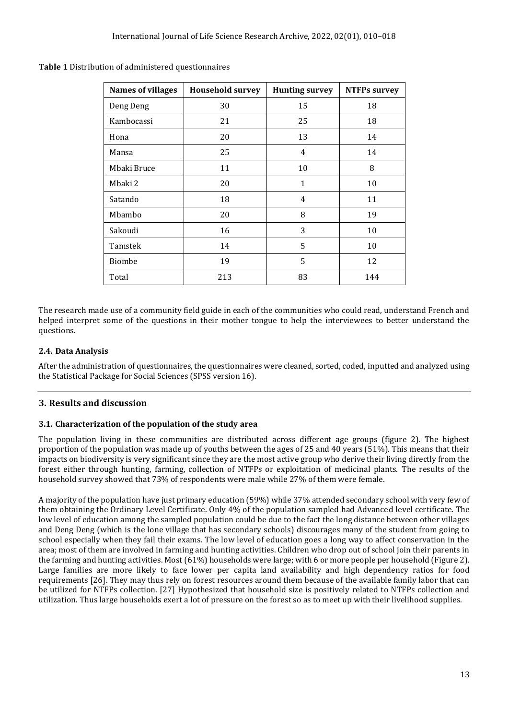| <b>Names of villages</b> | <b>Household survey</b> | <b>Hunting survey</b> | <b>NTFPs survey</b> |
|--------------------------|-------------------------|-----------------------|---------------------|
| Deng Deng                | 30                      | 15                    | 18                  |
| Kambocassi               | 21                      | 25                    | 18                  |
| Hona                     | 20                      | 13                    | 14                  |
| Mansa                    | 25                      | 4                     | 14                  |
| Mbaki Bruce              | 11                      | 10                    | 8                   |
| Mbaki 2                  | 20                      | $\mathbf{1}$          | 10                  |
| Satando                  | 18                      | 4                     | 11                  |
| Mbambo                   | 20                      | 8                     | 19                  |
| Sakoudi                  | 16                      | 3                     | 10                  |
| Tamstek                  | 14                      | 5                     | 10                  |
| <b>Biombe</b>            | 19                      | 5                     | 12                  |
| Total                    | 213                     | 83                    | 144                 |

**Table 1** Distribution of administered questionnaires

The research made use of a community field guide in each of the communities who could read, understand French and helped interpret some of the questions in their mother tongue to help the interviewees to better understand the questions.

### **2.4. Data Analysis**

After the administration of questionnaires, the questionnaires were cleaned, sorted, coded, inputted and analyzed using the Statistical Package for Social Sciences (SPSS version 16).

### **3. Results and discussion**

#### **3.1. Characterization of the population of the study area**

The population living in these communities are distributed across different age groups (figure 2). The highest proportion of the population was made up of youths between the ages of 25 and 40 years (51%). This means that their impacts on biodiversity is very significant since they are the most active group who derive their living directly from the forest either through hunting, farming, collection of NTFPs or exploitation of medicinal plants. The results of the household survey showed that 73% of respondents were male while 27% of them were female.

A majority of the population have just primary education (59%) while 37% attended secondary school with very few of them obtaining the Ordinary Level Certificate. Only 4% of the population sampled had Advanced level certificate. The low level of education among the sampled population could be due to the fact the long distance between other villages and Deng Deng (which is the lone village that has secondary schools) discourages many of the student from going to school especially when they fail their exams. The low level of education goes a long way to affect conservation in the area; most of them are involved in farming and hunting activities. Children who drop out of school join their parents in the farming and hunting activities. Most (61%) households were large; with 6 or more people per household (Figure 2). Large families are more likely to face lower per capita land availability and high dependency ratios for food requirements [26]. They may thus rely on forest resources around them because of the available family labor that can be utilized for NTFPs collection. [27] Hypothesized that household size is positively related to NTFPs collection and utilization. Thus large households exert a lot of pressure on the forest so as to meet up with their livelihood supplies.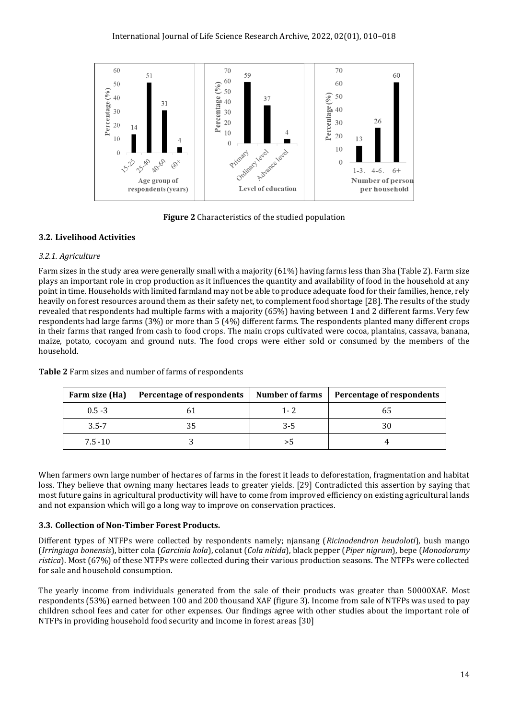

**Figure 2** Characteristics of the studied population

## **3.2. Livelihood Activities**

## *3.2.1. Agriculture*

Farm sizes in the study area were generally small with a majority (61%) having farms less than 3ha (Table 2). Farm size plays an important role in crop production as it influences the quantity and availability of food in the household at any point in time. Households with limited farmland may not be able to produce adequate food for their families, hence, rely heavily on forest resources around them as their safety net, to complement food shortage [28]. The results of the study revealed that respondents had multiple farms with a majority (65%) having between 1 and 2 different farms. Very few respondents had large farms (3%) or more than 5 (4%) different farms. The respondents planted many different crops in their farms that ranged from cash to food crops. The main crops cultivated were cocoa, plantains, cassava, banana, maize, potato, cocoyam and ground nuts. The food crops were either sold or consumed by the members of the household.

| Farm size (Ha) | Percentage of respondents | <b>Number of farms</b> | Percentage of respondents |
|----------------|---------------------------|------------------------|---------------------------|
| $0.5 - 3$      |                           | $1 - 2$                |                           |
| $3.5 - 7$      |                           | $3 - 5$                |                           |
| $7.5 - 10$     |                           |                        |                           |

**Table 2** Farm sizes and number of farms of respondents

When farmers own large number of hectares of farms in the forest it leads to deforestation, fragmentation and habitat loss. They believe that owning many hectares leads to greater yields. [29] Contradicted this assertion by saying that most future gains in agricultural productivity will have to come from improved efficiency on existing agricultural lands and not expansion which will go a long way to improve on conservation practices.

## **3.3. Collection of Non-Timber Forest Products.**

Different types of NTFPs were collected by respondents namely; njansang (*Ricinodendron heudoloti*), bush mango (*Irringiaga bonensis*), bitter cola (*Garcinia kola*), colanut (*Cola nitida*), black pepper (*Piper nigrum*), bepe (*Monodoramy ristica*). Most (67%) of these NTFPs were collected during their various production seasons. The NTFPs were collected for sale and household consumption.

The yearly income from individuals generated from the sale of their products was greater than 50000XAF. Most respondents (53%) earned between 100 and 200 thousand XAF (figure 3). Income from sale of NTFPs was used to pay children school fees and cater for other expenses. Our findings agree with other studies about the important role of NTFPs in providing household food security and income in forest areas [30]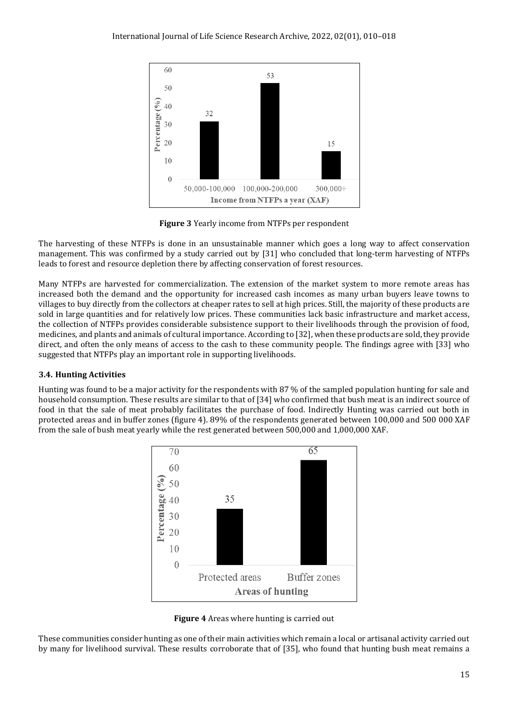

**Figure 3** Yearly income from NTFPs per respondent

The harvesting of these NTFPs is done in an unsustainable manner which goes a long way to affect conservation management. This was confirmed by a study carried out by [31] who concluded that long-term harvesting of NTFPs leads to forest and resource depletion there by affecting conservation of forest resources.

Many NTFPs are harvested for commercialization. The extension of the market system to more remote areas has increased both the demand and the opportunity for increased cash incomes as many urban buyers leave towns to villages to buy directly from the collectors at cheaper rates to sell at high prices. Still, the majority of these products are sold in large quantities and for relatively low prices. These communities lack basic infrastructure and market access, the collection of NTFPs provides considerable subsistence support to their livelihoods through the provision of food, medicines, and plants and animals of cultural importance. According to [32], when these products are sold, they provide direct, and often the only means of access to the cash to these community people. The findings agree with [33] who suggested that NTFPs play an important role in supporting livelihoods.

## **3.4. Hunting Activities**

Hunting was found to be a major activity for the respondents with 87 % of the sampled population hunting for sale and household consumption. These results are similar to that of [34] who confirmed that bush meat is an indirect source of food in that the sale of meat probably facilitates the purchase of food. Indirectly Hunting was carried out both in protected areas and in buffer zones (figure 4). 89% of the respondents generated between 100,000 and 500 000 XAF from the sale of bush meat yearly while the rest generated between 500,000 and 1,000,000 XAF.





These communities consider hunting as one of their main activities which remain a local or artisanal activity carried out by many for livelihood survival. These results corroborate that of [35], who found that hunting bush meat remains a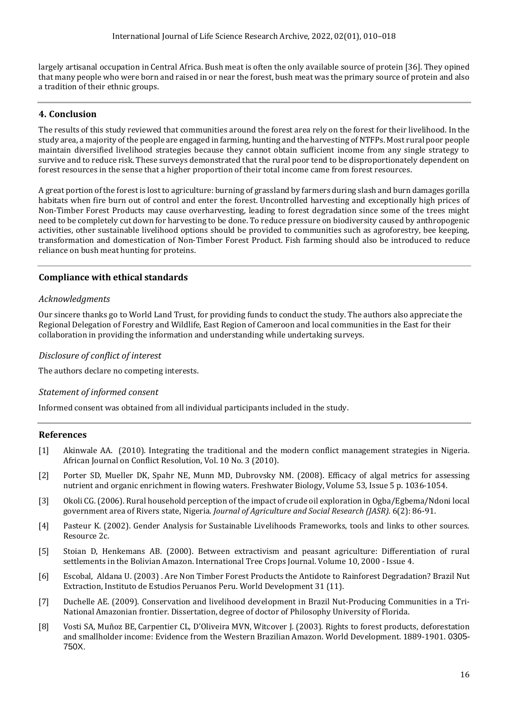largely artisanal occupation in Central Africa. Bush meat is often the only available source of protein [36]. They opined that many people who were born and raised in or near the forest, bush meat was the primary source of protein and also a tradition of their ethnic groups.

## **4. Conclusion**

The results of this study reviewed that communities around the forest area rely on the forest for their livelihood. In the study area, a majority of the people are engaged in farming, hunting and the harvesting of NTFPs. Most rural poor people maintain diversified livelihood strategies because they cannot obtain sufficient income from any single strategy to survive and to reduce risk. These surveys demonstrated that the rural poor tend to be disproportionately dependent on forest resources in the sense that a higher proportion of their total income came from forest resources.

A great portion of the forest is lost to agriculture: burning of grassland by farmers during slash and burn damages gorilla habitats when fire burn out of control and enter the forest. Uncontrolled harvesting and exceptionally high prices of Non-Timber Forest Products may cause overharvesting, leading to forest degradation since some of the trees might need to be completely cut down for harvesting to be done. To reduce pressure on biodiversity caused by anthropogenic activities, other sustainable livelihood options should be provided to communities such as agroforestry, bee keeping, transformation and domestication of Non-Timber Forest Product. Fish farming should also be introduced to reduce reliance on bush meat hunting for proteins.

## **Compliance with ethical standards**

#### *Acknowledgments*

Our sincere thanks go to World Land Trust, for providing funds to conduct the study. The authors also appreciate the Regional Delegation of Forestry and Wildlife, East Region of Cameroon and local communities in the East for their collaboration in providing the information and understanding while undertaking surveys.

#### *Disclosure of conflict of interest*

The authors declare no competing interests.

### *Statement of informed consent*

Informed consent was obtained from all individual participants included in the study.

### **References**

- [1] Akinwale [AA.](https://www.researchgate.net/profile/Akeem-Ayofe-Akinwale) (2010). Integrating the traditional and the modern conflict management strategies in Nigeria. African Journal on Conflict [Resolution,](https://www.researchgate.net/journal/African-Journal-on-Conflict-Resolution-1562-6997) [Vol. 10 No. 3 \(2010\).](https://www.ajol.info/index.php/ajcr/issue/view/7919)
- [2] Porter SD, Mueller DK, Spahr NE, Munn MD, Dubrovsky NM. (2008). Efficacy of algal metrics for assessing nutrient and organic enrichment in flowing waters. [Freshwater Biology,](https://onlinelibrary.wiley.com/journal/13652427) [Volume 53, Issue 5](https://onlinelibrary.wiley.com/toc/13652427/2008/53/5) p. 1036-1054.
- [3] Okoli CG. (2006). Rural household perception of the impact of crude oil exploration in Ogba/Egbema/Ndoni local government area of Rivers state, Nigeria. *Journal of Agriculture and Social Research (JASR).* 6(2): 86-91.
- [4] Pasteur K. (2002). Gender Analysis for Sustainable Livelihoods Frameworks, tools and links to other sources. Resource 2c.
- [5] Stoian D, Henkemans AB. (2000). Between extractivism and peasant agriculture: Differentiation of rural settlements in the Bolivian Amazon. International Tree Crops Journal. Volume 10, 2000 - Issue 4.
- [6] [Escobal,](https://www.researchgate.net/profile/Javier-Escobal-3) [Aldana](https://www.researchgate.net/profile/Ursula-Aldana) U. (2003) . Are Non Timber Forest Products the Antidote to Rainforest Degradation? Brazil Nut Extraction, Instituto de Estudios [Peruanos](https://www.researchgate.net/institution/Instituto_de_Estudios_Peruanos) Peru. World Development 31 (11).
- [7] Duchelle AE. (2009). Conservation and livelihood development in Brazil Nut-Producing Communities in a Tri-National Amazonian frontier. Dissertation, degree of doctor of Philosophy University of Florida.
- [8] Vosti SA, Muñoz BE, Carpentier CL, D'Oliveira MVN, Witcover J. (2003). Rights to forest products, deforestation and smallholder income: Evidence from the Western Brazilian Amazon. World Development. 1889-1901. 0305- 750X.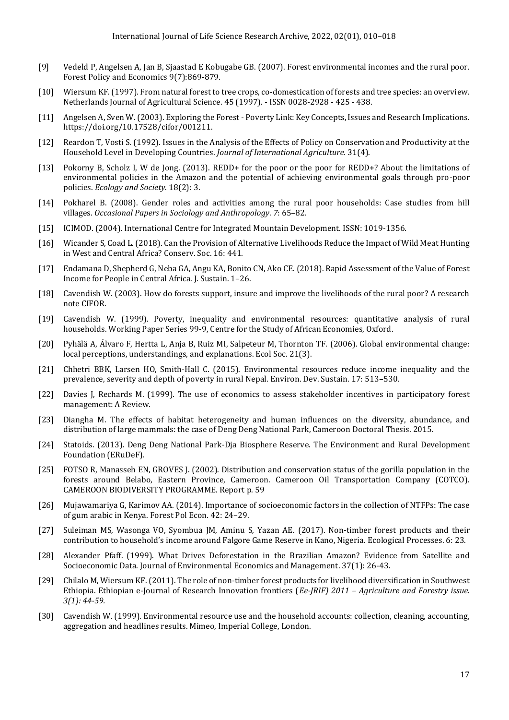- [9] Vedeld P, Angelsen A, Jan B, Sjaastad E Kobugabe GB. (2007). Forest environmental incomes and the rural poor. Forest Policy and [Economics](https://www.researchgate.net/journal/Forest-Policy-and-Economics-1389-9341) 9(7):869-879.
- [10] Wiersum KF.(1997). From natural forest to tree crops, co-domestication of forests and tree species: an overview. Netherlands Journal of Agricultural Science. 45 (1997). - ISSN 0028-2928 - 425 - 438.
- [11] Angelsen A, [Sven](https://www.researchgate.net/profile/Sven-Wunder) W. (2003). Exploring the Forest Poverty Link: Key Concepts, Issues and Research Implications. [https://doi.org/10.17528/cifor/001211.](https://doi.org/10.17528/cifor/001211)
- [12] [Reardon](https://www.researchgate.net/scientific-contributions/Thomas-Reardon-68556035) T, Vosti S. (1992). Issues in the Analysis of the Effects of Policy on Conservation and Productivity at the Household Level in Developing Countries. *[Journal](https://www.researchgate.net/journal/Quarterly-Journal-of-International-Agriculture-0049-8599) of International Agriculture.* 31(4).
- [13] Pokorny B, Scholz I, W de Jong. (2013). REDD+ for the poor or the poor for REDD+? About the limitations of environmental policies in the Amazon and the potential of achieving environmental goals through pro-poor policies. *Ecology and Society.* 18(2): 3.
- [14] Pokharel B. (2008). Gender roles and activities among the rural poor households: Case studies from hill villages. *Occasional Papers in Sociology and Anthropology*. *7*: 65–82.
- [15] ICIMOD. (2004). International Centre for Integrated Mountain Development. ISSN: 1019-1356.
- [16] Wicander S, Coad L.(2018). Can the Provision of Alternative Livelihoods Reduce the Impact of Wild Meat Hunting in West and Central Africa? Conserv. Soc. 16: 441.
- [17] Endamana D, Shepherd G, Neba GA, Angu KA, Bonito CN, Ako CE. (2018). Rapid Assessment of the Value of Forest Income for People in Central Africa. J. Sustain. 1–26.
- [18] Cavendish W. (2003). How do forests support, insure and improve the livelihoods of the rural poor? A research note CIFOR.
- [19] Cavendish W. (1999). Poverty, inequality and environmental resources: quantitative analysis of rural households. Working Paper Series 99-9, Centre for the Study of African Economies, Oxford.
- [20] Pyhälä A, Álvaro F, Hertta L, Anja B, Ruiz MI, Salpeteur M, Thornton TF. (2006). Global environmental change: local perceptions, understandings, and explanations. Ecol Soc. 21(3).
- [21] Chhetri BBK, Larsen HO, Smith-Hall C. (2015). Environmental resources reduce income inequality and the prevalence, severity and depth of poverty in rural Nepal. Environ. Dev. Sustain. 17: 513–530.
- [22] Davies J, Rechards M. (1999). The use of economics to assess stakeholder incentives in participatory forest management: A Review.
- [23] [Diangha](https://www.researchgate.net/profile/Mercy-Diangha) M. The effects of habitat heterogeneity and human influences on the diversity, abundance, and distribution of large mammals: the case of Deng Deng National Park, Cameroon Doctoral Thesis. 2015.
- [24] Statoids. (2013). Deng Deng National Park-Dja Biosphere Reserve. The Environment and Rural Development Foundation (ERuDeF).
- [25] FOTSO R, Manasseh EN, GROVES J. (2002). Distribution and conservation status of the gorilla population in the forests around Belabo, Eastern Province, Cameroon. Cameroon Oil Transportation Company (COTCO). CAMEROON BIODIVERSITY PROGRAMME. Report p. 59
- [26] Mujawamariya G, Karimov AA. (2014). Importance of socioeconomic factors in the collection of NTFPs: The case of gum arabic in Kenya. Forest Pol Econ. 42: 24–29.
- [27] Suleiman MS, Wasonga VO, Syombua JM, Aminu S, Yazan AE. (2017). Non-timber forest products and their contribution to household's income around Falgore Game Reserve in Kano, Nigeria. Ecological Processes. 6: 23.
- [28] [Alexander](https://www.researchgate.net/profile/Alexander-Pfaff-4) Pfaff. (1999). What Drives Deforestation in the Brazilian Amazon? Evidence from Satellite and Socioeconomic Data. Journal of Environmental Economics and Management. 37(1): 26-43.
- [29] Chilalo M, Wiersum KF. (2011). The role of non-timber forest products for livelihood diversification in Southwest Ethiopia. Ethiopian e-Journal of Research Innovation frontiers (*Ee-JRIF) 2011 – Agriculture and Forestry issue. 3(1): 44-59.*
- [30] Cavendish W. (1999). Environmental resource use and the household accounts: collection, cleaning, accounting, aggregation and headlines results. Mimeo, Imperial College, London.